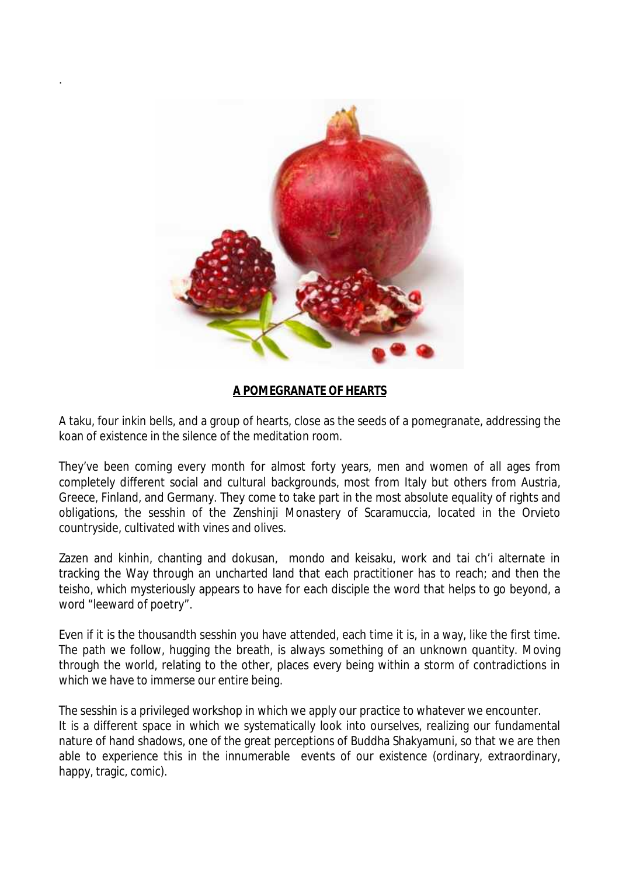

.

## **A POMEGRANATE OF HEARTS**

A taku, four inkin bells, and a group of hearts, close as the seeds of a pomegranate, addressing the koan of existence in the silence of the meditation room.

They've been coming every month for almost forty years, men and women of all ages from completely different social and cultural backgrounds, most from Italy but others from Austria, Greece, Finland, and Germany. They come to take part in the most absolute equality of rights and obligations, the sesshin of the Zenshinji Monastery of Scaramuccia, located in the Orvieto countryside, cultivated with vines and olives.

Zazen and kinhin, chanting and dokusan, mondo and keisaku, work and tai ch'i alternate in tracking the Way through an uncharted land that each practitioner has to reach; and then the teisho, which mysteriously appears to have for each disciple the word that helps to go beyond, a word "leeward of poetry".

Even if it is the thousandth sesshin you have attended, each time it is, in a way, like the first time. The path we follow, hugging the breath, is always something of an unknown quantity. Moving through the world, relating to the other, places every being within a storm of contradictions in which we have to immerse our entire being.

The sesshin is a privileged workshop in which we apply our practice to whatever we encounter. It is a different space in which we systematically look into ourselves, realizing our fundamental nature of hand shadows, one of the great perceptions of Buddha Shakyamuni, so that we are then able to experience this in the innumerable events of our existence (ordinary, extraordinary, happy, tragic, comic).